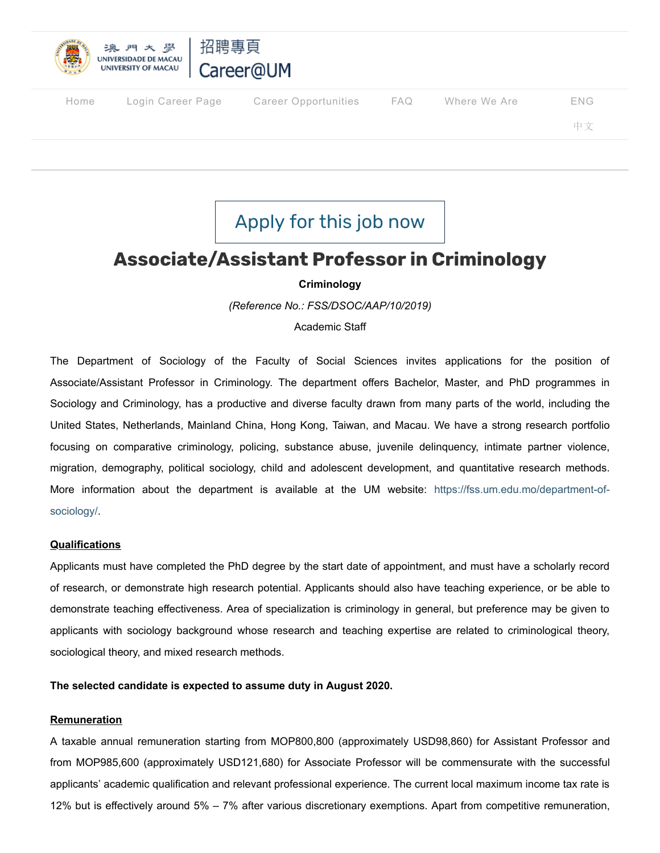

| Home | Login Career Page | Career Opportunities | FAQ Where We Are | <b>ENG</b> |
|------|-------------------|----------------------|------------------|------------|
|      |                   |                      |                  | 中文         |
|      |                   |                      |                  |            |

# [Apply](https://isw.um.edu.mo/recruitment/selectJob.do?jobRefNo=FSS/DSOC/AAP/10/2019) for this job now

## **Associate/Assistant Professor in Criminology**

### **Criminology**

*(Reference No.: FSS/DSOC/AAP/10/2019)*

Academic Staff

The Department of Sociology of the Faculty of Social Sciences invites applications for the position of Associate/Assistant Professor in Criminology. The department offers Bachelor, Master, and PhD programmes in Sociology and Criminology, has a productive and diverse faculty drawn from many parts of the world, including the United States, Netherlands, Mainland China, Hong Kong, Taiwan, and Macau. We have a strong research portfolio focusing on comparative criminology, policing, substance abuse, juvenile delinquency, intimate partner violence, migration, demography, political sociology, child and adolescent development, and quantitative research methods. [More information about the department is available at the UM website: https://fss.um.edu.mo/department-of](https://fss.um.edu.mo/department-of-sociology/)sociology/.

#### **Qualifications**

Applicants must have completed the PhD degree by the start date of appointment, and must have a scholarly record of research, or demonstrate high research potential. Applicants should also have teaching experience, or be able to demonstrate teaching effectiveness. Area of specialization is criminology in general, but preference may be given to applicants with sociology background whose research and teaching expertise are related to criminological theory, sociological theory, and mixed research methods.

**The selected candidate is expected to assume duty in August 2020.**

#### **Remuneration**

A taxable annual remuneration starting from MOP800,800 (approximately USD98,860) for Assistant Professor and from MOP985,600 (approximately USD121,680) for Associate Professor will be commensurate with the successful applicants' academic qualification and relevant professional experience. The current local maximum income tax rate is 12% but is effectively around 5% – 7% after various discretionary exemptions. Apart from competitive remuneration,